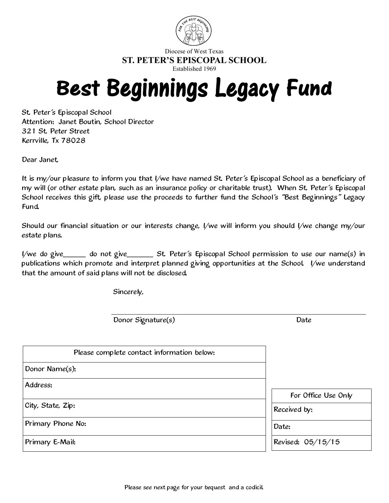

Diocese of West Texas **ST. PETER'S EPISCOPAL SCHOOL**

Established 1969

# Best Beginnings Legacy Fund

St. Peter's Episcopal School Attention: Janet Boutin, School Director 321 St. Peter Street Kerrville, Tx 78028

Dear Janet,

It is my/our pleasure to inform you that I/we have named St. Peter's Episcopal School as a beneficiary of my will (or other estate plan, such as an insurance policy or charitable trust). When St. Peter's Episcopal School receives this gift, please use the proceeds to further fund the School's "Best Beginnings" Legacy Fund.

Should our financial situation or our interests change, I/we will inform you should I/we change my/our estate plans.

I/we do give\_\_\_\_\_\_ do not give\_\_\_\_\_\_\_ St. Peter's Episcopal School permission to use our name(s) in publications which promote and interpret planned giving opportunities at the School. I/we understand that the amount of said plans will not be disclosed.

Sincerely,

Donor Signature(s) Date

| Please complete contact information below: |                                     |
|--------------------------------------------|-------------------------------------|
| Donor Name(s):                             |                                     |
| Address:                                   |                                     |
| City, State, Zip:                          | For Office Use Only<br>Received by: |
| Primary Phone No:                          | Date:                               |
| Primary E-Mail:                            | Revised: 05/15/15                   |